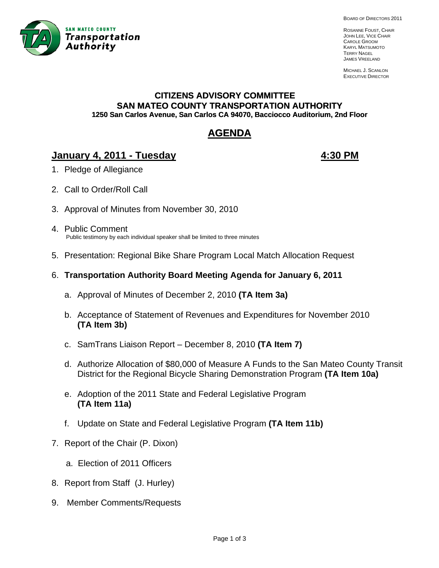

BOARD OF DIRECTORS 2011

ROSANNE FOUST, CHAIR JOHN LEE, VICE CHAIR CAROLE GROOM KARYL MATSUMOTO TERRY NAGEL JAMES VREELAND

MICHAEL J. SCANLON EXECUTIVE DIRECTOR

#### **CITIZENS ADVISORY COMMITTEE SAN MATEO COUNTY TRANSPORTATION AUTHORITY 1250 San Carlos Avenue, San Carlos CA 94070, Bacciocco Auditorium, 2nd Floor**

# **AGENDA**

## **January 4, 2011 - Tuesday 4:30 PM**

- 1. Pledge of Allegiance
- 2. Call to Order/Roll Call
- 3. Approval of Minutes from November 30, 2010
- 4. Public Comment Public testimony by each individual speaker shall be limited to three minutes
- 5. Presentation: Regional Bike Share Program Local Match Allocation Request
- 6. **Transportation Authority Board Meeting Agenda for January 6, 2011**
	- a. Approval of Minutes of December 2, 2010 **(TA Item 3a)**
	- b. Acceptance of Statement of Revenues and Expenditures for November 2010 **(TA Item 3b)**
	- c. SamTrans Liaison Report December 8, 2010 **(TA Item 7)**
	- d. Authorize Allocation of \$80,000 of Measure A Funds to the San Mateo County Transit District for the Regional Bicycle Sharing Demonstration Program **(TA Item 10a)**
	- e. Adoption of the 2011 State and Federal Legislative Program **(TA Item 11a)**
	- f. Update on State and Federal Legislative Program **(TA Item 11b)**
- 7. Report of the Chair (P. Dixon)
	- a. Election of 2011 Officers
- 8. Report from Staff (J. Hurley)
- 9. Member Comments/Requests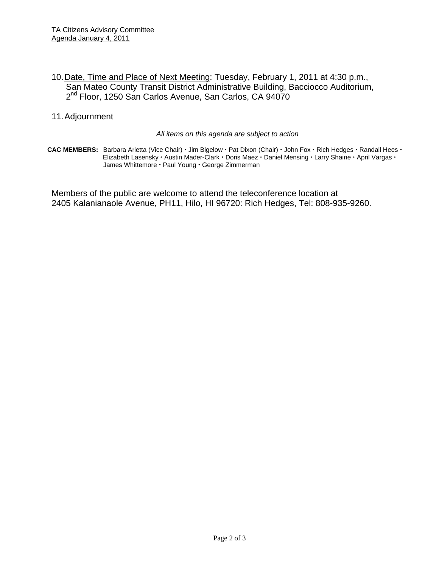- 10. Date, Time and Place of Next Meeting: Tuesday, February 1, 2011 at 4:30 p.m., San Mateo County Transit District Administrative Building, Bacciocco Auditorium, 2<sup>nd</sup> Floor, 1250 San Carlos Avenue, San Carlos, CA 94070
- 11. Adjournment

*All items on this agenda are subject to action* 

CAC MEMBERS: Barbara Arietta (Vice Chair) · Jim Bigelow · Pat Dixon (Chair) · John Fox · Rich Hedges · Randall Hees · Elizabeth Lasensky · Austin Mader-Clark · Doris Maez · Daniel Mensing · Larry Shaine · April Vargas · James Whittemore · Paul Young · George Zimmerman

Members of the public are welcome to attend the teleconference location at 2405 Kalanianaole Avenue, PH11, Hilo, HI 96720: Rich Hedges, Tel: 808-935-9260.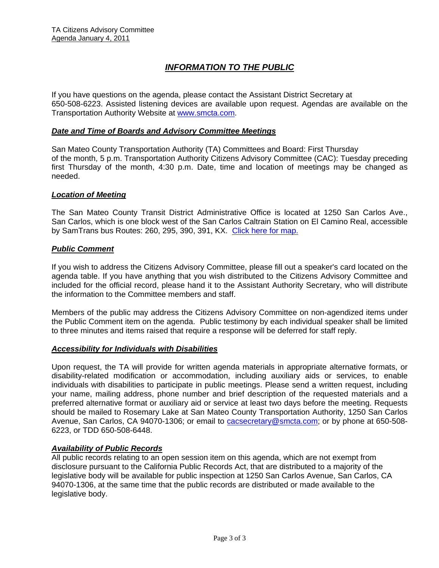## *INFORMATION TO THE PUBLIC*

If you have questions on the agenda, please contact the Assistant District Secretary at 650-508-6223. Assisted listening devices are available upon request. Agendas are available on the Transportation Authority Website at [www.smcta.com.](http://www.smcta.com/)

#### *Date and Time of Boards and Advisory Committee Meetings*

San Mateo County Transportation Authority (TA) Committees and Board: First Thursday of the month, 5 p.m. Transportation Authority Citizens Advisory Committee (CAC): Tuesday preceding first Thursday of the month, 4:30 p.m. Date, time and location of meetings may be changed as needed.

#### *Location of Meeting*

The San Mateo County Transit District Administrative Office is located at 1250 San Carlos Ave., San Carlos, which is one block west of the San Carlos Caltrain Station on El Camino Real, accessible by SamTrans bus Routes: 260, 295, 390, 391, KX. [Click here for map.](http://maps.google.com/maps?f=q&hl=en&geocode=&q=1250+San+Carlos+Ave,+San+Carlos,+CA+94070&sll=37.0625,-95.677068&sspn=33.077336,56.25&ie=UTF8&ll=37.507394,-122.261996&spn=0.008085,0.013733&z=16)

#### *Public Comment*

If you wish to address the Citizens Advisory Committee, please fill out a speaker's card located on the agenda table. If you have anything that you wish distributed to the Citizens Advisory Committee and included for the official record, please hand it to the Assistant Authority Secretary, who will distribute the information to the Committee members and staff.

Members of the public may address the Citizens Advisory Committee on non-agendized items under the Public Comment item on the agenda. Public testimony by each individual speaker shall be limited to three minutes and items raised that require a response will be deferred for staff reply.

#### *Accessibility for Individuals with Disabilities*

Upon request, the TA will provide for written agenda materials in appropriate alternative formats, or disability-related modification or accommodation, including auxiliary aids or services, to enable individuals with disabilities to participate in public meetings. Please send a written request, including your name, mailing address, phone number and brief description of the requested materials and a preferred alternative format or auxiliary aid or service at least two days before the meeting. Requests should be mailed to Rosemary Lake at San Mateo County Transportation Authority, 1250 San Carlos Avenue, San Carlos, CA 94070-1306; or email to **[cacsecretary@smcta.com](mailto:cacsecretary@smcta.com)**; or by phone at 650-508-6223, or TDD 650-508-6448.

#### *Availability of Public Records*

All public records relating to an open session item on this agenda, which are not exempt from disclosure pursuant to the California Public Records Act, that are distributed to a majority of the legislative body will be available for public inspection at 1250 San Carlos Avenue, San Carlos, CA 94070-1306, at the same time that the public records are distributed or made available to the legislative body.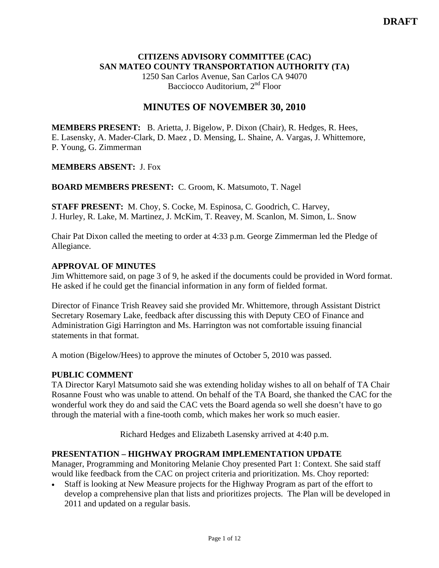### **CITIZENS ADVISORY COMMITTEE (CAC) SAN MATEO COUNTY TRANSPORTATION AUTHORITY (TA)**

1250 San Carlos Avenue, San Carlos CA 94070 Bacciocco Auditorium, 2<sup>nd</sup> Floor

## **MINUTES OF NOVEMBER 30, 2010**

**MEMBERS PRESENT:** B. Arietta, J. Bigelow, P. Dixon (Chair), R. Hedges, R. Hees, E. Lasensky, A. Mader-Clark, D. Maez , D. Mensing, L. Shaine, A. Vargas, J. Whittemore, P. Young, G. Zimmerman

#### **MEMBERS ABSENT:** J. Fox

**BOARD MEMBERS PRESENT:** C. Groom, K. Matsumoto, T. Nagel

**STAFF PRESENT:** M. Choy, S. Cocke, M. Espinosa, C. Goodrich, C. Harvey, J. Hurley, R. Lake, M. Martinez, J. McKim, T. Reavey, M. Scanlon, M. Simon, L. Snow

Chair Pat Dixon called the meeting to order at 4:33 p.m. George Zimmerman led the Pledge of Allegiance.

#### **APPROVAL OF MINUTES**

Jim Whittemore said, on page 3 of 9, he asked if the documents could be provided in Word format. He asked if he could get the financial information in any form of fielded format.

Director of Finance Trish Reavey said she provided Mr. Whittemore, through Assistant District Secretary Rosemary Lake, feedback after discussing this with Deputy CEO of Finance and Administration Gigi Harrington and Ms. Harrington was not comfortable issuing financial statements in that format.

A motion (Bigelow/Hees) to approve the minutes of October 5, 2010 was passed.

### **PUBLIC COMMENT**

TA Director Karyl Matsumoto said she was extending holiday wishes to all on behalf of TA Chair Rosanne Foust who was unable to attend. On behalf of the TA Board, she thanked the CAC for the wonderful work they do and said the CAC vets the Board agenda so well she doesn't have to go through the material with a fine-tooth comb, which makes her work so much easier.

Richard Hedges and Elizabeth Lasensky arrived at 4:40 p.m.

#### **PRESENTATION – HIGHWAY PROGRAM IMPLEMENTATION UPDATE**

Manager, Programming and Monitoring Melanie Choy presented Part 1: Context. She said staff would like feedback from the CAC on project criteria and prioritization. Ms. Choy reported:

• Staff is looking at New Measure projects for the Highway Program as part of the effort to develop a comprehensive plan that lists and prioritizes projects. The Plan will be developed in 2011 and updated on a regular basis.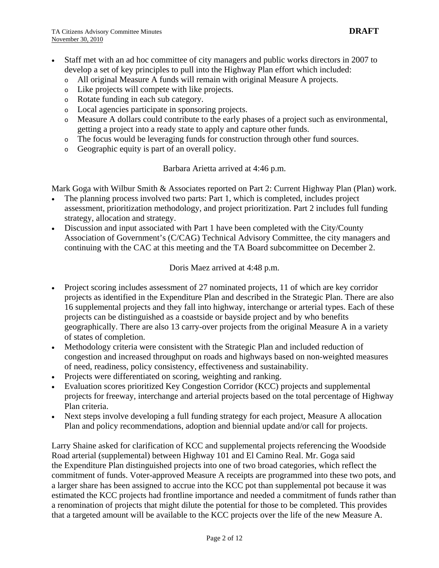- Staff met with an ad hoc committee of city managers and public works directors in 2007 to develop a set of key principles to pull into the Highway Plan effort which included:
	- o All original Measure A funds will remain with original Measure A projects.
	- o Like projects will compete with like projects.
	- o Rotate funding in each sub category.
	- o Local agencies participate in sponsoring projects.
	- o Measure A dollars could contribute to the early phases of a project such as environmental, getting a project into a ready state to apply and capture other funds.
	- o The focus would be leveraging funds for construction through other fund sources.
	- o Geographic equity is part of an overall policy.

#### Barbara Arietta arrived at 4:46 p.m.

Mark Goga with Wilbur Smith & Associates reported on Part 2: Current Highway Plan (Plan) work.

- The planning process involved two parts: Part 1, which is completed, includes project assessment, prioritization methodology, and project prioritization. Part 2 includes full funding strategy, allocation and strategy.
- Discussion and input associated with Part 1 have been completed with the City/County Association of Government's (C/CAG) Technical Advisory Committee, the city managers and continuing with the CAC at this meeting and the TA Board subcommittee on December 2.

Doris Maez arrived at 4:48 p.m.

- Project scoring includes assessment of 27 nominated projects, 11 of which are key corridor projects as identified in the Expenditure Plan and described in the Strategic Plan. There are also 16 supplemental projects and they fall into highway, interchange or arterial types. Each of these projects can be distinguished as a coastside or bayside project and by who benefits geographically. There are also 13 carry-over projects from the original Measure A in a variety of states of completion.
- Methodology criteria were consistent with the Strategic Plan and included reduction of congestion and increased throughput on roads and highways based on non-weighted measures of need, readiness, policy consistency, effectiveness and sustainability.
- Projects were differentiated on scoring, weighting and ranking.
- Evaluation scores prioritized Key Congestion Corridor (KCC) projects and supplemental projects for freeway, interchange and arterial projects based on the total percentage of Highway Plan criteria.
- Next steps involve developing a full funding strategy for each project, Measure A allocation Plan and policy recommendations, adoption and biennial update and/or call for projects.

Larry Shaine asked for clarification of KCC and supplemental projects referencing the Woodside Road arterial (supplemental) between Highway 101 and El Camino Real. Mr. Goga said the Expenditure Plan distinguished projects into one of two broad categories, which reflect the commitment of funds. Voter-approved Measure A receipts are programmed into these two pots, and a larger share has been assigned to accrue into the KCC pot than supplemental pot because it was estimated the KCC projects had frontline importance and needed a commitment of funds rather than a renomination of projects that might dilute the potential for those to be completed. This provides that a targeted amount will be available to the KCC projects over the life of the new Measure A.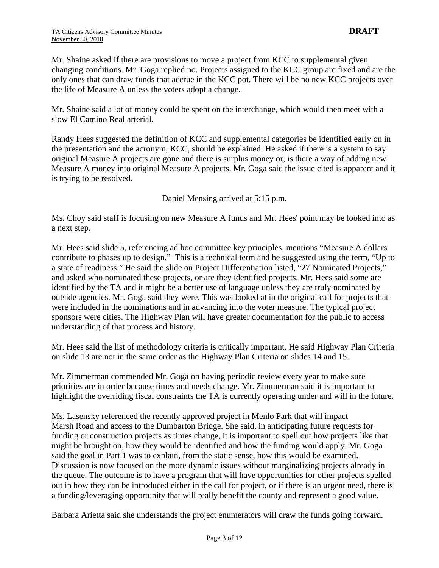Mr. Shaine asked if there are provisions to move a project from KCC to supplemental given changing conditions. Mr. Goga replied no. Projects assigned to the KCC group are fixed and are the only ones that can draw funds that accrue in the KCC pot. There will be no new KCC projects over the life of Measure A unless the voters adopt a change.

Mr. Shaine said a lot of money could be spent on the interchange, which would then meet with a slow El Camino Real arterial.

Randy Hees suggested the definition of KCC and supplemental categories be identified early on in the presentation and the acronym, KCC, should be explained. He asked if there is a system to say original Measure A projects are gone and there is surplus money or, is there a way of adding new Measure A money into original Measure A projects. Mr. Goga said the issue cited is apparent and it is trying to be resolved.

Daniel Mensing arrived at 5:15 p.m.

Ms. Choy said staff is focusing on new Measure A funds and Mr. Hees' point may be looked into as a next step.

Mr. Hees said slide 5, referencing ad hoc committee key principles, mentions "Measure A dollars contribute to phases up to design." This is a technical term and he suggested using the term, "Up to a state of readiness." He said the slide on Project Differentiation listed, "27 Nominated Projects," and asked who nominated these projects, or are they identified projects. Mr. Hees said some are identified by the TA and it might be a better use of language unless they are truly nominated by outside agencies. Mr. Goga said they were. This was looked at in the original call for projects that were included in the nominations and in advancing into the voter measure. The typical project sponsors were cities. The Highway Plan will have greater documentation for the public to access understanding of that process and history.

Mr. Hees said the list of methodology criteria is critically important. He said Highway Plan Criteria on slide 13 are not in the same order as the Highway Plan Criteria on slides 14 and 15.

Mr. Zimmerman commended Mr. Goga on having periodic review every year to make sure priorities are in order because times and needs change. Mr. Zimmerman said it is important to highlight the overriding fiscal constraints the TA is currently operating under and will in the future.

Ms. Lasensky referenced the recently approved project in Menlo Park that will impact Marsh Road and access to the Dumbarton Bridge. She said, in anticipating future requests for funding or construction projects as times change, it is important to spell out how projects like that might be brought on, how they would be identified and how the funding would apply. Mr. Goga said the goal in Part 1 was to explain, from the static sense, how this would be examined. Discussion is now focused on the more dynamic issues without marginalizing projects already in the queue. The outcome is to have a program that will have opportunities for other projects spelled out in how they can be introduced either in the call for project, or if there is an urgent need, there is a funding/leveraging opportunity that will really benefit the county and represent a good value.

Barbara Arietta said she understands the project enumerators will draw the funds going forward.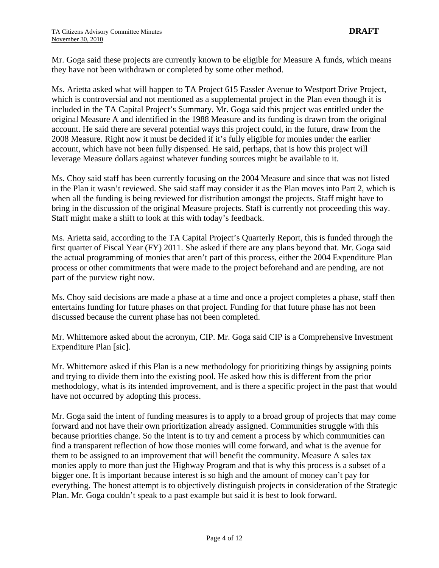Mr. Goga said these projects are currently known to be eligible for Measure A funds, which means they have not been withdrawn or completed by some other method.

Ms. Arietta asked what will happen to TA Project 615 Fassler Avenue to Westport Drive Project, which is controversial and not mentioned as a supplemental project in the Plan even though it is included in the TA Capital Project's Summary. Mr. Goga said this project was entitled under the original Measure A and identified in the 1988 Measure and its funding is drawn from the original account. He said there are several potential ways this project could, in the future, draw from the 2008 Measure. Right now it must be decided if it's fully eligible for monies under the earlier account, which have not been fully dispensed. He said, perhaps, that is how this project will leverage Measure dollars against whatever funding sources might be available to it.

Ms. Choy said staff has been currently focusing on the 2004 Measure and since that was not listed in the Plan it wasn't reviewed. She said staff may consider it as the Plan moves into Part 2, which is when all the funding is being reviewed for distribution amongst the projects. Staff might have to bring in the discussion of the original Measure projects. Staff is currently not proceeding this way. Staff might make a shift to look at this with today's feedback.

Ms. Arietta said, according to the TA Capital Project's Quarterly Report, this is funded through the first quarter of Fiscal Year (FY) 2011. She asked if there are any plans beyond that. Mr. Goga said the actual programming of monies that aren't part of this process, either the 2004 Expenditure Plan process or other commitments that were made to the project beforehand and are pending, are not part of the purview right now.

Ms. Choy said decisions are made a phase at a time and once a project completes a phase, staff then entertains funding for future phases on that project. Funding for that future phase has not been discussed because the current phase has not been completed.

Mr. Whittemore asked about the acronym, CIP. Mr. Goga said CIP is a Comprehensive Investment Expenditure Plan [sic].

Mr. Whittemore asked if this Plan is a new methodology for prioritizing things by assigning points and trying to divide them into the existing pool. He asked how this is different from the prior methodology, what is its intended improvement, and is there a specific project in the past that would have not occurred by adopting this process.

Mr. Goga said the intent of funding measures is to apply to a broad group of projects that may come forward and not have their own prioritization already assigned. Communities struggle with this because priorities change. So the intent is to try and cement a process by which communities can find a transparent reflection of how those monies will come forward, and what is the avenue for them to be assigned to an improvement that will benefit the community. Measure A sales tax monies apply to more than just the Highway Program and that is why this process is a subset of a bigger one. It is important because interest is so high and the amount of money can't pay for everything. The honest attempt is to objectively distinguish projects in consideration of the Strategic Plan. Mr. Goga couldn't speak to a past example but said it is best to look forward.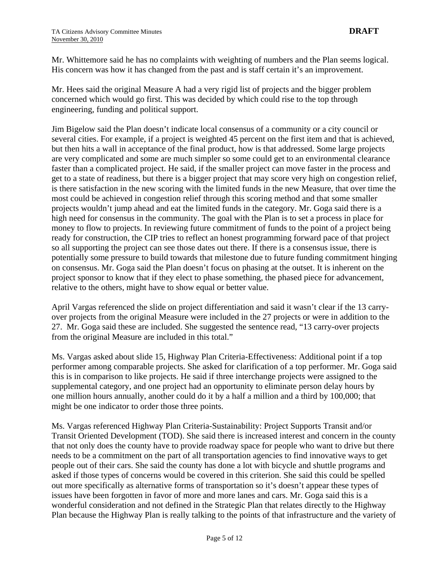Mr. Whittemore said he has no complaints with weighting of numbers and the Plan seems logical. His concern was how it has changed from the past and is staff certain it's an improvement.

Mr. Hees said the original Measure A had a very rigid list of projects and the bigger problem concerned which would go first. This was decided by which could rise to the top through engineering, funding and political support.

Jim Bigelow said the Plan doesn't indicate local consensus of a community or a city council or several cities. For example, if a project is weighted 45 percent on the first item and that is achieved, but then hits a wall in acceptance of the final product, how is that addressed. Some large projects are very complicated and some are much simpler so some could get to an environmental clearance faster than a complicated project. He said, if the smaller project can move faster in the process and get to a state of readiness, but there is a bigger project that may score very high on congestion relief, is there satisfaction in the new scoring with the limited funds in the new Measure, that over time the most could be achieved in congestion relief through this scoring method and that some smaller projects wouldn't jump ahead and eat the limited funds in the category. Mr. Goga said there is a high need for consensus in the community. The goal with the Plan is to set a process in place for money to flow to projects. In reviewing future commitment of funds to the point of a project being ready for construction, the CIP tries to reflect an honest programming forward pace of that project so all supporting the project can see those dates out there. If there is a consensus issue, there is potentially some pressure to build towards that milestone due to future funding commitment hinging on consensus. Mr. Goga said the Plan doesn't focus on phasing at the outset. It is inherent on the project sponsor to know that if they elect to phase something, the phased piece for advancement, relative to the others, might have to show equal or better value.

April Vargas referenced the slide on project differentiation and said it wasn't clear if the 13 carryover projects from the original Measure were included in the 27 projects or were in addition to the 27. Mr. Goga said these are included. She suggested the sentence read, "13 carry-over projects from the original Measure are included in this total."

Ms. Vargas asked about slide 15, Highway Plan Criteria-Effectiveness: Additional point if a top performer among comparable projects. She asked for clarification of a top performer. Mr. Goga said this is in comparison to like projects. He said if three interchange projects were assigned to the supplemental category, and one project had an opportunity to eliminate person delay hours by one million hours annually, another could do it by a half a million and a third by 100,000; that might be one indicator to order those three points.

Ms. Vargas referenced Highway Plan Criteria-Sustainability: Project Supports Transit and/or Transit Oriented Development (TOD). She said there is increased interest and concern in the county that not only does the county have to provide roadway space for people who want to drive but there needs to be a commitment on the part of all transportation agencies to find innovative ways to get people out of their cars. She said the county has done a lot with bicycle and shuttle programs and asked if those types of concerns would be covered in this criterion. She said this could be spelled out more specifically as alternative forms of transportation so it's doesn't appear these types of issues have been forgotten in favor of more and more lanes and cars. Mr. Goga said this is a wonderful consideration and not defined in the Strategic Plan that relates directly to the Highway Plan because the Highway Plan is really talking to the points of that infrastructure and the variety of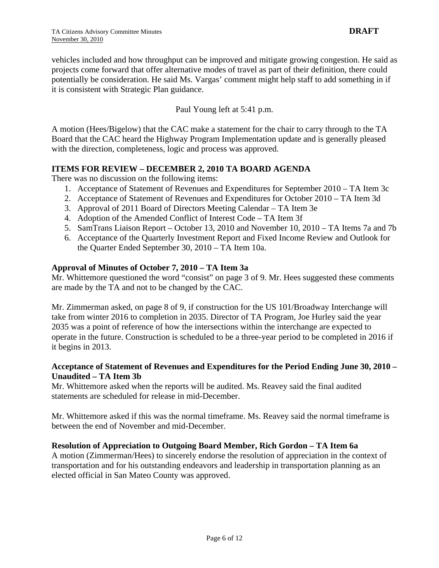vehicles included and how throughput can be improved and mitigate growing congestion. He said as projects come forward that offer alternative modes of travel as part of their definition, there could potentially be consideration. He said Ms. Vargas' comment might help staff to add something in if it is consistent with Strategic Plan guidance.

Paul Young left at 5:41 p.m.

A motion (Hees/Bigelow) that the CAC make a statement for the chair to carry through to the TA Board that the CAC heard the Highway Program Implementation update and is generally pleased with the direction, completeness, logic and process was approved.

#### **ITEMS FOR REVIEW – DECEMBER 2, 2010 TA BOARD AGENDA**

There was no discussion on the following items:

- 1. Acceptance of Statement of Revenues and Expenditures for September 2010 TA Item 3c
- 2. Acceptance of Statement of Revenues and Expenditures for October 2010 TA Item 3d
- 3. Approval of 2011 Board of Directors Meeting Calendar TA Item 3e
- 4. Adoption of the Amended Conflict of Interest Code TA Item 3f
- 5. SamTrans Liaison Report October 13, 2010 and November 10, 2010 TA Items 7a and 7b
- 6. Acceptance of the Quarterly Investment Report and Fixed Income Review and Outlook for the Quarter Ended September 30, 2010 – TA Item 10a.

#### **Approval of Minutes of October 7, 2010 – TA Item 3a**

Mr. Whittemore questioned the word "consist" on page 3 of 9. Mr. Hees suggested these comments are made by the TA and not to be changed by the CAC.

Mr. Zimmerman asked, on page 8 of 9, if construction for the US 101/Broadway Interchange will take from winter 2016 to completion in 2035. Director of TA Program, Joe Hurley said the year 2035 was a point of reference of how the intersections within the interchange are expected to operate in the future. Construction is scheduled to be a three-year period to be completed in 2016 if it begins in 2013.

#### **Acceptance of Statement of Revenues and Expenditures for the Period Ending June 30, 2010 – Unaudited – TA Item 3b**

Mr. Whittemore asked when the reports will be audited. Ms. Reavey said the final audited statements are scheduled for release in mid-December.

Mr. Whittemore asked if this was the normal timeframe. Ms. Reavey said the normal timeframe is between the end of November and mid-December.

### **Resolution of Appreciation to Outgoing Board Member, Rich Gordon – TA Item 6a**

A motion (Zimmerman/Hees) to sincerely endorse the resolution of appreciation in the context of transportation and for his outstanding endeavors and leadership in transportation planning as an elected official in San Mateo County was approved.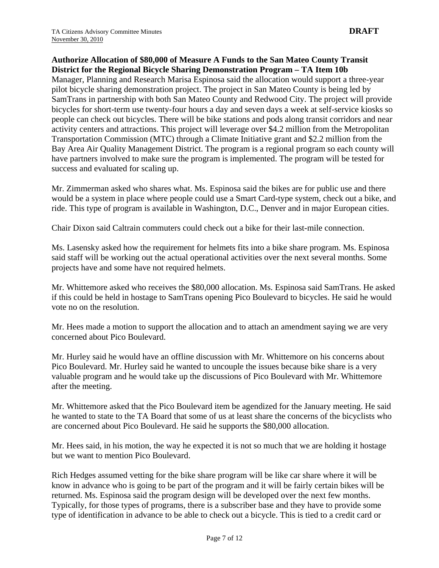#### **Authorize Allocation of \$80,000 of Measure A Funds to the San Mateo County Transit District for the Regional Bicycle Sharing Demonstration Program – TA Item 10b**

Manager, Planning and Research Marisa Espinosa said the allocation would support a three-year pilot bicycle sharing demonstration project. The project in San Mateo County is being led by SamTrans in partnership with both San Mateo County and Redwood City. The project will provide bicycles for short-term use twenty-four hours a day and seven days a week at self-service kiosks so people can check out bicycles. There will be bike stations and pods along transit corridors and near activity centers and attractions. This project will leverage over \$4.2 million from the Metropolitan Transportation Commission (MTC) through a Climate Initiative grant and \$2.2 million from the Bay Area Air Quality Management District. The program is a regional program so each county will have partners involved to make sure the program is implemented. The program will be tested for success and evaluated for scaling up.

Mr. Zimmerman asked who shares what. Ms. Espinosa said the bikes are for public use and there would be a system in place where people could use a Smart Card-type system, check out a bike, and ride. This type of program is available in Washington, D.C., Denver and in major European cities.

Chair Dixon said Caltrain commuters could check out a bike for their last-mile connection.

Ms. Lasensky asked how the requirement for helmets fits into a bike share program. Ms. Espinosa said staff will be working out the actual operational activities over the next several months. Some projects have and some have not required helmets.

Mr. Whittemore asked who receives the \$80,000 allocation. Ms. Espinosa said SamTrans. He asked if this could be held in hostage to SamTrans opening Pico Boulevard to bicycles. He said he would vote no on the resolution.

Mr. Hees made a motion to support the allocation and to attach an amendment saying we are very concerned about Pico Boulevard.

Mr. Hurley said he would have an offline discussion with Mr. Whittemore on his concerns about Pico Boulevard. Mr. Hurley said he wanted to uncouple the issues because bike share is a very valuable program and he would take up the discussions of Pico Boulevard with Mr. Whittemore after the meeting.

Mr. Whittemore asked that the Pico Boulevard item be agendized for the January meeting. He said he wanted to state to the TA Board that some of us at least share the concerns of the bicyclists who are concerned about Pico Boulevard. He said he supports the \$80,000 allocation.

Mr. Hees said, in his motion, the way he expected it is not so much that we are holding it hostage but we want to mention Pico Boulevard.

Rich Hedges assumed vetting for the bike share program will be like car share where it will be know in advance who is going to be part of the program and it will be fairly certain bikes will be returned. Ms. Espinosa said the program design will be developed over the next few months. Typically, for those types of programs, there is a subscriber base and they have to provide some type of identification in advance to be able to check out a bicycle. This is tied to a credit card or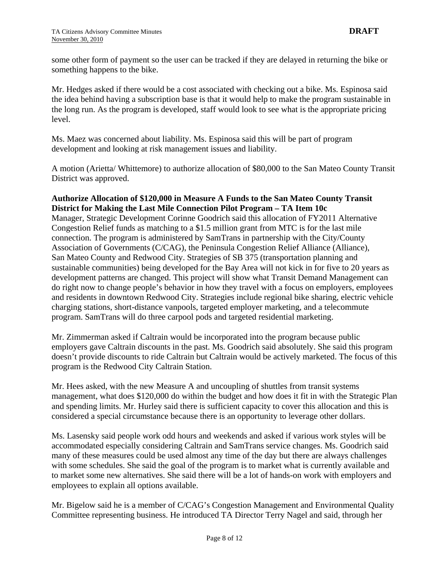some other form of payment so the user can be tracked if they are delayed in returning the bike or something happens to the bike.

Mr. Hedges asked if there would be a cost associated with checking out a bike. Ms. Espinosa said the idea behind having a subscription base is that it would help to make the program sustainable in the long run. As the program is developed, staff would look to see what is the appropriate pricing level.

Ms. Maez was concerned about liability. Ms. Espinosa said this will be part of program development and looking at risk management issues and liability.

A motion (Arietta/ Whittemore) to authorize allocation of \$80,000 to the San Mateo County Transit District was approved.

#### **Authorize Allocation of \$120,000 in Measure A Funds to the San Mateo County Transit District for Making the Last Mile Connection Pilot Program – TA Item 10c**

Manager, Strategic Development Corinne Goodrich said this allocation of FY2011 Alternative Congestion Relief funds as matching to a \$1.5 million grant from MTC is for the last mile connection. The program is administered by SamTrans in partnership with the City/County Association of Governments (C/CAG), the Peninsula Congestion Relief Alliance (Alliance), San Mateo County and Redwood City. Strategies of SB 375 (transportation planning and sustainable communities) being developed for the Bay Area will not kick in for five to 20 years as development patterns are changed. This project will show what Transit Demand Management can do right now to change people's behavior in how they travel with a focus on employers, employees and residents in downtown Redwood City. Strategies include regional bike sharing, electric vehicle charging stations, short-distance vanpools, targeted employer marketing, and a telecommute program. SamTrans will do three carpool pods and targeted residential marketing.

Mr. Zimmerman asked if Caltrain would be incorporated into the program because public employers gave Caltrain discounts in the past. Ms. Goodrich said absolutely. She said this program doesn't provide discounts to ride Caltrain but Caltrain would be actively marketed. The focus of this program is the Redwood City Caltrain Station.

Mr. Hees asked, with the new Measure A and uncoupling of shuttles from transit systems management, what does \$120,000 do within the budget and how does it fit in with the Strategic Plan and spending limits. Mr. Hurley said there is sufficient capacity to cover this allocation and this is considered a special circumstance because there is an opportunity to leverage other dollars.

Ms. Lasensky said people work odd hours and weekends and asked if various work styles will be accommodated especially considering Caltrain and SamTrans service changes. Ms. Goodrich said many of these measures could be used almost any time of the day but there are always challenges with some schedules. She said the goal of the program is to market what is currently available and to market some new alternatives. She said there will be a lot of hands-on work with employers and employees to explain all options available.

Mr. Bigelow said he is a member of C/CAG's Congestion Management and Environmental Quality Committee representing business. He introduced TA Director Terry Nagel and said, through her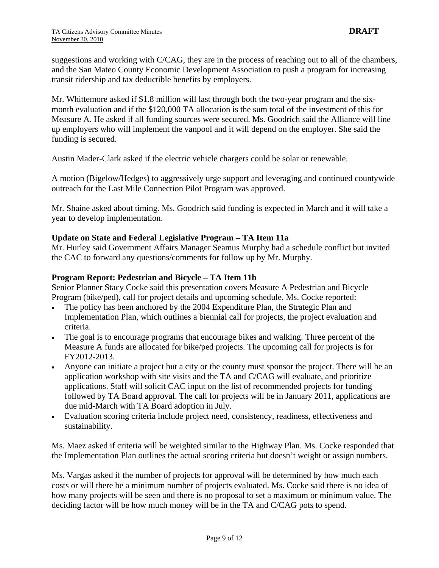suggestions and working with C/CAG, they are in the process of reaching out to all of the chambers, and the San Mateo County Economic Development Association to push a program for increasing transit ridership and tax deductible benefits by employers.

Mr. Whittemore asked if \$1.8 million will last through both the two-year program and the sixmonth evaluation and if the \$120,000 TA allocation is the sum total of the investment of this for Measure A. He asked if all funding sources were secured. Ms. Goodrich said the Alliance will line up employers who will implement the vanpool and it will depend on the employer. She said the funding is secured.

Austin Mader-Clark asked if the electric vehicle chargers could be solar or renewable.

A motion (Bigelow/Hedges) to aggressively urge support and leveraging and continued countywide outreach for the Last Mile Connection Pilot Program was approved.

Mr. Shaine asked about timing. Ms. Goodrich said funding is expected in March and it will take a year to develop implementation.

#### **Update on State and Federal Legislative Program – TA Item 11a**

Mr. Hurley said Government Affairs Manager Seamus Murphy had a schedule conflict but invited the CAC to forward any questions/comments for follow up by Mr. Murphy.

#### **Program Report: Pedestrian and Bicycle – TA Item 11b**

Senior Planner Stacy Cocke said this presentation covers Measure A Pedestrian and Bicycle Program (bike/ped), call for project details and upcoming schedule. Ms. Cocke reported:

- The policy has been anchored by the 2004 Expenditure Plan, the Strategic Plan and Implementation Plan, which outlines a biennial call for projects, the project evaluation and criteria.
- The goal is to encourage programs that encourage bikes and walking. Three percent of the Measure A funds are allocated for bike/ped projects. The upcoming call for projects is for FY2012-2013.
- Anyone can initiate a project but a city or the county must sponsor the project. There will be an application workshop with site visits and the TA and C/CAG will evaluate, and prioritize applications. Staff will solicit CAC input on the list of recommended projects for funding followed by TA Board approval. The call for projects will be in January 2011, applications are due mid-March with TA Board adoption in July.
- Evaluation scoring criteria include project need, consistency, readiness, effectiveness and sustainability.

Ms. Maez asked if criteria will be weighted similar to the Highway Plan. Ms. Cocke responded that the Implementation Plan outlines the actual scoring criteria but doesn't weight or assign numbers.

Ms. Vargas asked if the number of projects for approval will be determined by how much each costs or will there be a minimum number of projects evaluated. Ms. Cocke said there is no idea of how many projects will be seen and there is no proposal to set a maximum or minimum value. The deciding factor will be how much money will be in the TA and C/CAG pots to spend.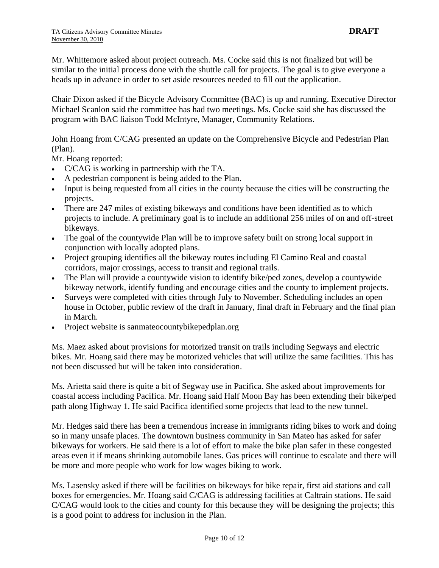Mr. Whittemore asked about project outreach. Ms. Cocke said this is not finalized but will be similar to the initial process done with the shuttle call for projects. The goal is to give everyone a heads up in advance in order to set aside resources needed to fill out the application.

Chair Dixon asked if the Bicycle Advisory Committee (BAC) is up and running. Executive Director Michael Scanlon said the committee has had two meetings. Ms. Cocke said she has discussed the program with BAC liaison Todd McIntyre, Manager, Community Relations.

John Hoang from C/CAG presented an update on the Comprehensive Bicycle and Pedestrian Plan (Plan).

Mr. Hoang reported:

- C/CAG is working in partnership with the TA.
- A pedestrian component is being added to the Plan.
- Input is being requested from all cities in the county because the cities will be constructing the projects.
- There are 247 miles of existing bikeways and conditions have been identified as to which projects to include. A preliminary goal is to include an additional 256 miles of on and off-street bikeways.
- The goal of the countywide Plan will be to improve safety built on strong local support in conjunction with locally adopted plans.
- Project grouping identifies all the bikeway routes including El Camino Real and coastal corridors, major crossings, access to transit and regional trails.
- The Plan will provide a countywide vision to identify bike/ped zones, develop a countywide bikeway network, identify funding and encourage cities and the county to implement projects.
- Surveys were completed with cities through July to November. Scheduling includes an open house in October, public review of the draft in January, final draft in February and the final plan in March.
- Project website is sanmateocountybikepedplan.org

Ms. Maez asked about provisions for motorized transit on trails including Segways and electric bikes. Mr. Hoang said there may be motorized vehicles that will utilize the same facilities. This has not been discussed but will be taken into consideration.

Ms. Arietta said there is quite a bit of Segway use in Pacifica. She asked about improvements for coastal access including Pacifica. Mr. Hoang said Half Moon Bay has been extending their bike/ped path along Highway 1. He said Pacifica identified some projects that lead to the new tunnel.

Mr. Hedges said there has been a tremendous increase in immigrants riding bikes to work and doing so in many unsafe places. The downtown business community in San Mateo has asked for safer bikeways for workers. He said there is a lot of effort to make the bike plan safer in these congested areas even it if means shrinking automobile lanes. Gas prices will continue to escalate and there will be more and more people who work for low wages biking to work.

Ms. Lasensky asked if there will be facilities on bikeways for bike repair, first aid stations and call boxes for emergencies. Mr. Hoang said C/CAG is addressing facilities at Caltrain stations. He said C/CAG would look to the cities and county for this because they will be designing the projects; this is a good point to address for inclusion in the Plan.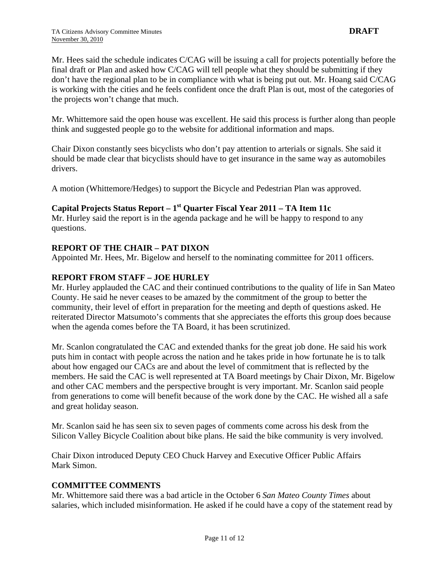Mr. Hees said the schedule indicates C/CAG will be issuing a call for projects potentially before the final draft or Plan and asked how C/CAG will tell people what they should be submitting if they don't have the regional plan to be in compliance with what is being put out. Mr. Hoang said C/CAG is working with the cities and he feels confident once the draft Plan is out, most of the categories of the projects won't change that much.

Mr. Whittemore said the open house was excellent. He said this process is further along than people think and suggested people go to the website for additional information and maps.

Chair Dixon constantly sees bicyclists who don't pay attention to arterials or signals. She said it should be made clear that bicyclists should have to get insurance in the same way as automobiles drivers.

A motion (Whittemore/Hedges) to support the Bicycle and Pedestrian Plan was approved.

#### **Capital Projects Status Report – 1st Quarter Fiscal Year 2011 – TA Item 11c**

Mr. Hurley said the report is in the agenda package and he will be happy to respond to any questions.

#### **REPORT OF THE CHAIR – PAT DIXON**

Appointed Mr. Hees, Mr. Bigelow and herself to the nominating committee for 2011 officers.

#### **REPORT FROM STAFF – JOE HURLEY**

Mr. Hurley applauded the CAC and their continued contributions to the quality of life in San Mateo County. He said he never ceases to be amazed by the commitment of the group to better the community, their level of effort in preparation for the meeting and depth of questions asked. He reiterated Director Matsumoto's comments that she appreciates the efforts this group does because when the agenda comes before the TA Board, it has been scrutinized.

Mr. Scanlon congratulated the CAC and extended thanks for the great job done. He said his work puts him in contact with people across the nation and he takes pride in how fortunate he is to talk about how engaged our CACs are and about the level of commitment that is reflected by the members. He said the CAC is well represented at TA Board meetings by Chair Dixon, Mr. Bigelow and other CAC members and the perspective brought is very important. Mr. Scanlon said people from generations to come will benefit because of the work done by the CAC. He wished all a safe and great holiday season.

Mr. Scanlon said he has seen six to seven pages of comments come across his desk from the Silicon Valley Bicycle Coalition about bike plans. He said the bike community is very involved.

Chair Dixon introduced Deputy CEO Chuck Harvey and Executive Officer Public Affairs Mark Simon.

#### **COMMITTEE COMMENTS**

Mr. Whittemore said there was a bad article in the October 6 *San Mateo County Times* about salaries, which included misinformation. He asked if he could have a copy of the statement read by